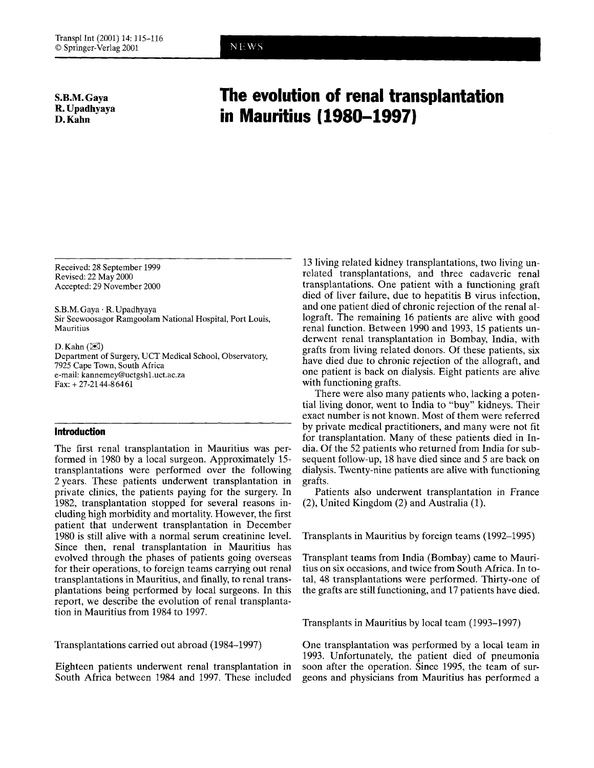**S.B.M. Gaya R. Upadhyaya D. Kahn** 

## **The evolution of renal transplantation in Mauritius (1980-1997)**

NEWS

Received: 28 September 1999 Revised: 22 May 2000 Accepted: 29 November 2000

S.B.M. Gaya . R. Upadhyaya Sir Seewoosagor Ramgoolam National Hospital, Port Louis, Mauritius

D. Kahn  $(\boxtimes)$ Department of Surgery, UCT Medical School, Observatory, 7925 Cape Town, South Africa e-mail: kannemey@uctgshl .uct.ac.za Fax: + 27-2144-86461

## **Introduction**

The first renal transplantation in Mauritius was performed in 1980 by a local surgeon. Approximately 15 transplantations were performed over the following 2 years. These patients underwent transplantation in private clinics, the patients paying for the surgery. In 1982, transplantation stopped for several reasons including high morbidity and mortality. However, the first patient that underwent transplantation in December 1980 is still alive with a normal serum creatinine level. Since then, renal transplantation in Mauritius has evolved through the phases of patients going overseas for their operations, to foreign teams carrying out renal transplantations in Mauritius, and finally, to renal transplantations being performed by local surgeons. In this report, we describe the evolution of renal transplantation in Mauritius from 1984 to 1997.

Transplantations carried out abroad (1984-1997)

Eighteen patients underwent renal transplantation in South Africa between 1984 and 1997. These included

13 living related kidney transplantations, two living unrelated transplantations, and three cadaveric renal transplantations. One patient with a functioning graft died of liver failure, due to hepatitis B virus infection, and one patient died of chronic rejection of the renal allograft. The remaining 16 patients are alive with good renal function. Between 1990 and 1993, 15 patients underwent renal transplantation in Bombay, India, with grafts from living related donors. Of these patients, six have died due to chronic rejection of the allograft, and one patient is back on dialysis. Eight patients are alive with functioning grafts.

There were also many patients who, lacking a potential living donor, went to India to "buy" kidneys. Their exact number is not known. Most of them were referred by private medical practitioners, and many were not fit for transplantation. Many of these patients died in India. Of the 52 patients who returned from India for subsequent follow-up, 18 have died since and *5* are back on dialysis. Twenty-nine patients are alive with functioning grafts.

Patients also underwent transplantation in France (2), United Kingdom (2) and Australia (1).

Transplants in Mauritius by foreign teams (1992-1995)

Transplant teams from India (Bombay) came to Mauritius on six occasions, and twice from South Africa. In total, 48 transplantations were performed. Thirty-one of the grafts are still functioning, and 17 patients have died.

Transplants in Mauritius by local team (1993-1997)

One transplantation was performed by a local team in 1993. Unfortunately, the patient died of pneumonia soon after the operation. Since 1995, the team of surgeons and physicians from Mauritius has performed a